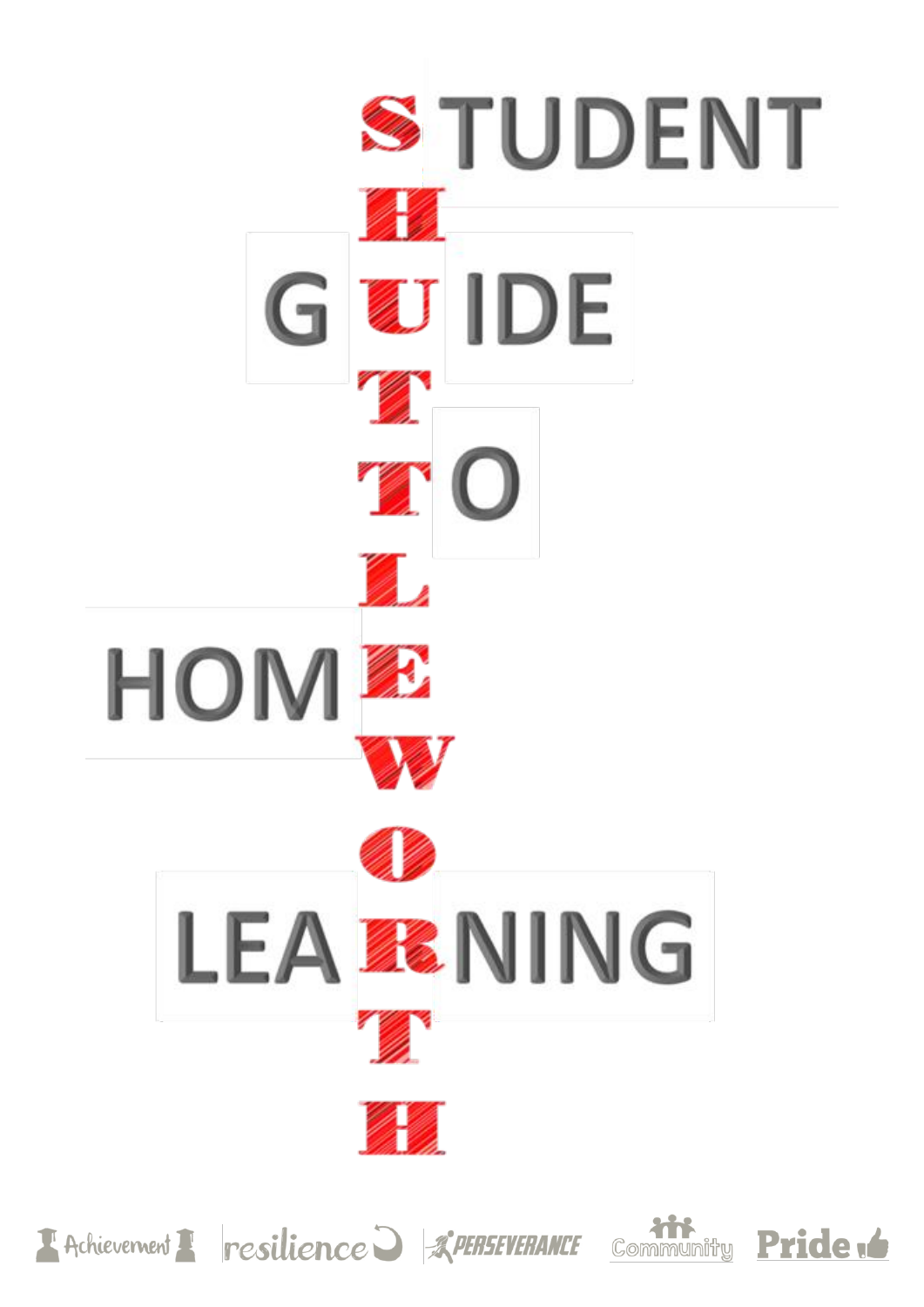





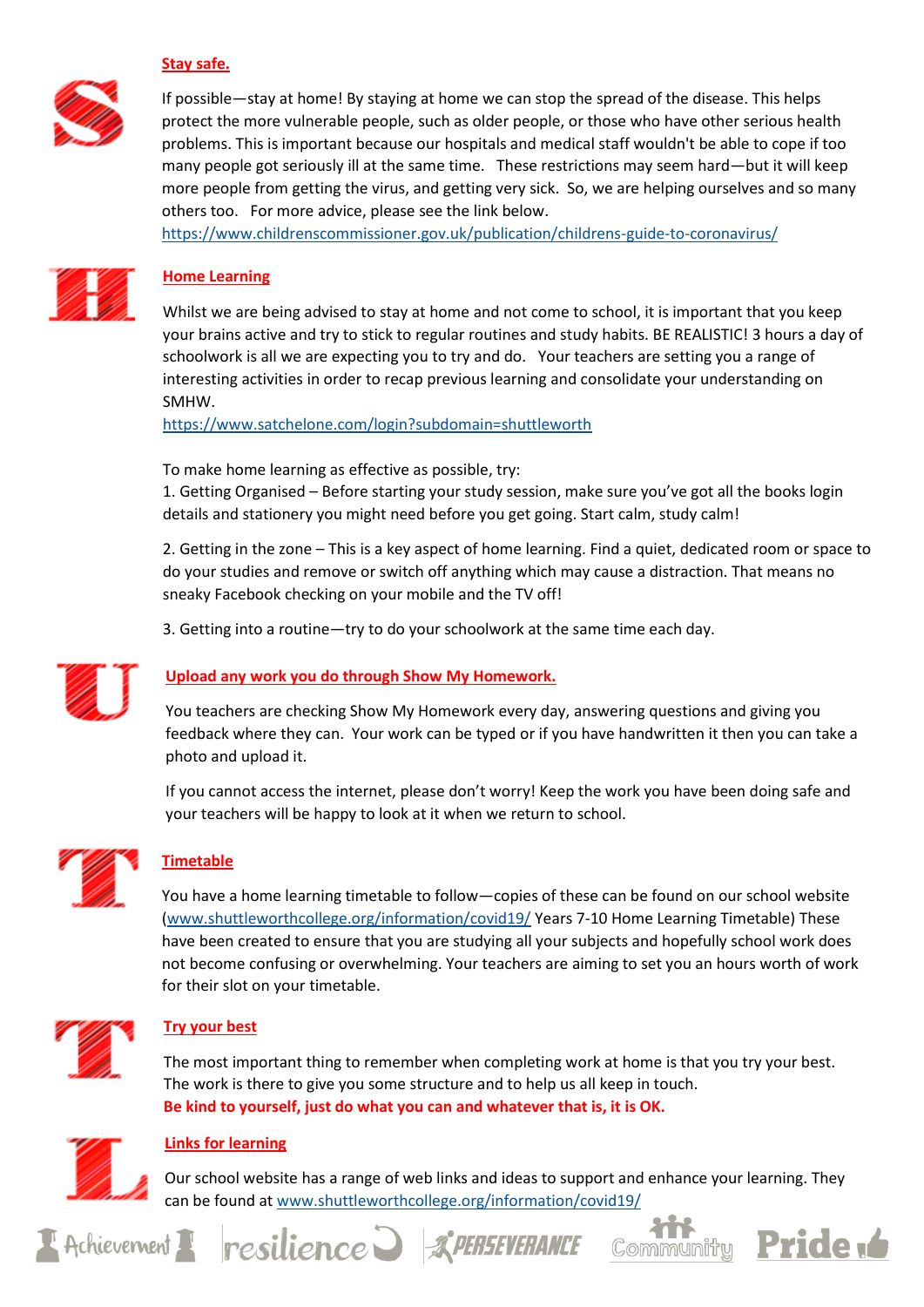

## **Stay safe.**

If possible—stay at home! By staying at home we can stop the spread of the disease. This helps protect the more vulnerable people, such as older people, or those who have other serious health problems. This is important because our hospitals and medical staff wouldn't be able to cope if too many people got seriously ill at the same time. These restrictions may seem hard—but it will keep more people from getting the virus, and getting very sick. So, we are helping ourselves and so many others too. For more advice, please see the link below.

<https://www.childrenscommissioner.gov.uk/publication/childrens-guide-to-coronavirus/>



## **Home Learning**

Whilst we are being advised to stay at home and not come to school, it is important that you keep your brains active and try to stick to regular routines and study habits. BE REALISTIC! 3 hours a day of schoolwork is all we are expecting you to try and do. Your teachers are setting you a range of interesting activities in order to recap previous learning and consolidate your understanding on SMHW.

<https://www.satchelone.com/login?subdomain=shuttleworth>

To make home learning as effective as possible, try:

1. Getting Organised – Before starting your study session, make sure you've got all the books login details and stationery you might need before you get going. Start calm, study calm!

2. Getting in the zone – This is a key aspect of home learning. Find a quiet, dedicated room or space to do your studies and remove or switch off anything which may cause a distraction. That means no sneaky Facebook checking on your mobile and the TV off!

3. Getting into a routine—try to do your schoolwork at the same time each day.



## **Upload any work you do through Show My Homework.**

You teachers are checking Show My Homework every day, answering questions and giving you feedback where they can. Your work can be typed or if you have handwritten it then you can take a photo and upload it.

If you cannot access the internet, please don't worry! Keep the work you have been doing safe and your teachers will be happy to look at it when we return to school.



## **Timetable**

You have a home learning timetable to follow—copies of these can be found on our school website [\(www.shuttleworthcollege.org/information/covid19/](https://www.shuttleworthcollege.org/information/covid19/) Years 7-10 Home Learning Timetable) These have been created to ensure that you are studying all your subjects and hopefully school work does not become confusing or overwhelming. Your teachers are aiming to set you an hours worth of work for their slot on your timetable.



## **Try your best**

The most important thing to remember when completing work at home is that you try your best. The work is there to give you some structure and to help us all keep in touch. **Be kind to yourself, just do what you can and whatever that is, it is OK.** 



## **Links for learning**

Our school website has a range of web links and ideas to support and enhance your learning. They can be found a[t www.shuttleworthcollege.org/information/covid19/](https://www.shuttleworthcollege.org/information/covid19/)